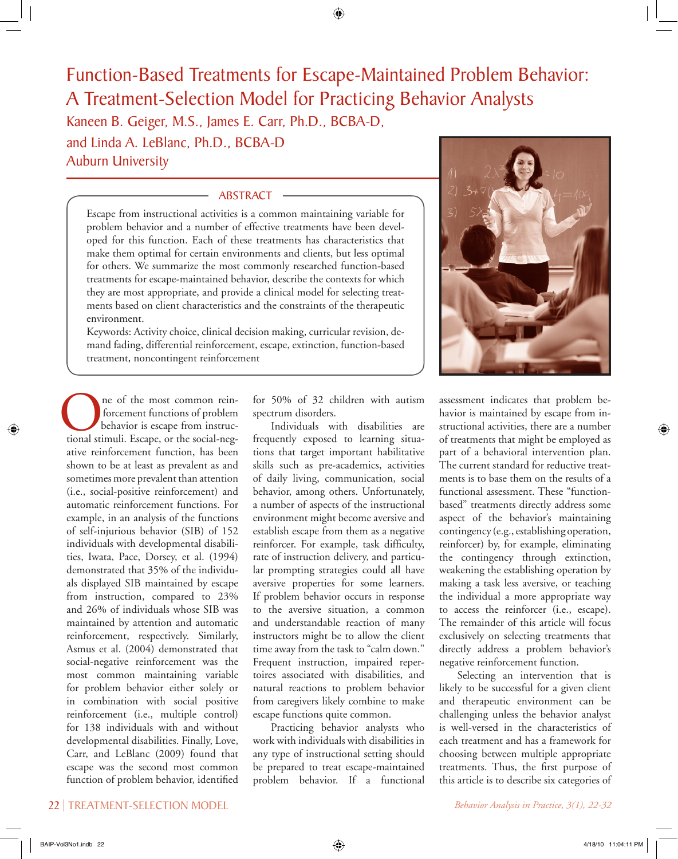Function-Based Treatments for Escape-Maintained Problem Behavior: A Treatment-Selection Model for Practicing Behavior Analysts

Kaneen B. Geiger, M.S., James E. Carr, Ph.D., BCBA-D, and Linda A. LeBlanc, Ph.D., BCBA-D Auburn University

# ABSTRACT -

Escape from instructional activities is a common maintaining variable for problem behavior and a number of effective treatments have been developed for this function. Each of these treatments has characteristics that make them optimal for certain environments and clients, but less optimal for others. We summarize the most commonly researched function-based treatments for escape-maintained behavior, describe the contexts for which they are most appropriate, and provide a clinical model for selecting treatments based on client characteristics and the constraints of the therapeutic environment.

Keywords: Activity choice, clinical decision making, curricular revision, demand fading, differential reinforcement, escape, extinction, function-based treatment, noncontingent reinforcement



ne of the most common reinforcement functions of problem behavior is escape from instruc-The of the most common rein-<br>forcement functions of problem<br>behavior is escape from instruc-<br>tional stimuli. Escape, or the social-negative reinforcement function, has been shown to be at least as prevalent as and sometimes more prevalent than attention (i.e., social-positive reinforcement) and automatic reinforcement functions. For example, in an analysis of the functions of self-injurious behavior (SIB) of 152 individuals with developmental disabilities, Iwata, Pace, Dorsey, et al. (1994) demonstrated that 35% of the individuals displayed SIB maintained by escape from instruction, compared to 23% and 26% of individuals whose SIB was maintained by attention and automatic reinforcement, respectively. Similarly, Asmus et al. (2004) demonstrated that social-negative reinforcement was the most common maintaining variable for problem behavior either solely or in combination with social positive reinforcement (i.e., multiple control) for 138 individuals with and without developmental disabilities. Finally, Love, Carr, and LeBlanc (2009) found that escape was the second most common function of problem behavior, identified

for 50% of 32 children with autism spectrum disorders.

Individuals with disabilities are frequently exposed to learning situations that target important habilitative skills such as pre-academics, activities of daily living, communication, social behavior, among others. Unfortunately, a number of aspects of the instructional environment might become aversive and establish escape from them as a negative reinforcer. For example, task difficulty, rate of instruction delivery, and particular prompting strategies could all have aversive properties for some learners. If problem behavior occurs in response to the aversive situation, a common and understandable reaction of many instructors might be to allow the client time away from the task to "calm down." Frequent instruction, impaired repertoires associated with disabilities, and natural reactions to problem behavior from caregivers likely combine to make escape functions quite common.

Practicing behavior analysts who work with individuals with disabilities in any type of instructional setting should be prepared to treat escape-maintained problem behavior. If a functional assessment indicates that problem behavior is maintained by escape from instructional activities, there are a number of treatments that might be employed as part of a behavioral intervention plan. The current standard for reductive treatments is to base them on the results of a functional assessment. These "functionbased" treatments directly address some aspect of the behavior's maintaining contingency (e.g., establishing operation, reinforcer) by, for example, eliminating the contingency through extinction, weakening the establishing operation by making a task less aversive, or teaching the individual a more appropriate way to access the reinforcer (i.e., escape). The remainder of this article will focus exclusively on selecting treatments that directly address a problem behavior's negative reinforcement function.

Selecting an intervention that is likely to be successful for a given client and therapeutic environment can be challenging unless the behavior analyst is well-versed in the characteristics of each treatment and has a framework for choosing between multiple appropriate treatments. Thus, the first purpose of this article is to describe six categories of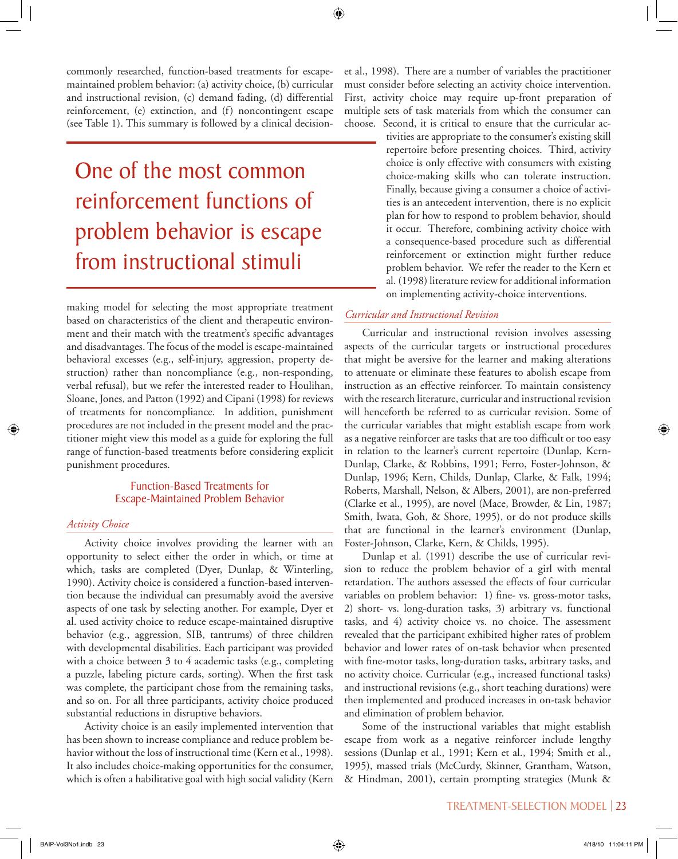commonly researched, function-based treatments for escapemaintained problem behavior: (a) activity choice, (b) curricular and instructional revision, (c) demand fading, (d) differential reinforcement, (e) extinction, and (f) noncontingent escape (see Table 1). This summary is followed by a clinical decision-

# One of the most common reinforcement functions of problem behavior is escape from instructional stimuli

making model for selecting the most appropriate treatment based on characteristics of the client and therapeutic environment and their match with the treatment's specific advantages and disadvantages. The focus of the model is escape-maintained behavioral excesses (e.g., self-injury, aggression, property destruction) rather than noncompliance (e.g., non-responding, verbal refusal), but we refer the interested reader to Houlihan, Sloane, Jones, and Patton (1992) and Cipani (1998) for reviews of treatments for noncompliance. In addition, punishment procedures are not included in the present model and the practitioner might view this model as a guide for exploring the full range of function-based treatments before considering explicit punishment procedures.

# Function-Based Treatments for Escape-Maintained Problem Behavior

### *Activity Choice*

Activity choice involves providing the learner with an opportunity to select either the order in which, or time at which, tasks are completed (Dyer, Dunlap, & Winterling, 1990). Activity choice is considered a function-based intervention because the individual can presumably avoid the aversive aspects of one task by selecting another. For example, Dyer et al. used activity choice to reduce escape-maintained disruptive behavior (e.g., aggression, SIB, tantrums) of three children with developmental disabilities. Each participant was provided with a choice between 3 to 4 academic tasks (e.g., completing a puzzle, labeling picture cards, sorting). When the first task was complete, the participant chose from the remaining tasks, and so on. For all three participants, activity choice produced substantial reductions in disruptive behaviors.

Activity choice is an easily implemented intervention that has been shown to increase compliance and reduce problem behavior without the loss of instructional time (Kern et al., 1998). It also includes choice-making opportunities for the consumer, which is often a habilitative goal with high social validity (Kern et al., 1998). There are a number of variables the practitioner must consider before selecting an activity choice intervention. First, activity choice may require up-front preparation of multiple sets of task materials from which the consumer can choose. Second, it is critical to ensure that the curricular ac-

tivities are appropriate to the consumer's existing skill repertoire before presenting choices. Third, activity choice is only effective with consumers with existing choice-making skills who can tolerate instruction. Finally, because giving a consumer a choice of activities is an antecedent intervention, there is no explicit plan for how to respond to problem behavior, should it occur. Therefore, combining activity choice with a consequence-based procedure such as differential reinforcement or extinction might further reduce problem behavior. We refer the reader to the Kern et al. (1998) literature review for additional information on implementing activity-choice interventions.

## *Curricular and Instructional Revision*

Curricular and instructional revision involves assessing aspects of the curricular targets or instructional procedures that might be aversive for the learner and making alterations to attenuate or eliminate these features to abolish escape from instruction as an effective reinforcer. To maintain consistency with the research literature, curricular and instructional revision will henceforth be referred to as curricular revision. Some of the curricular variables that might establish escape from work as a negative reinforcer are tasks that are too difficult or too easy in relation to the learner's current repertoire (Dunlap, Kern-Dunlap, Clarke, & Robbins, 1991; Ferro, Foster-Johnson, & Dunlap, 1996; Kern, Childs, Dunlap, Clarke, & Falk, 1994; Roberts, Marshall, Nelson, & Albers, 2001), are non-preferred (Clarke et al., 1995), are novel (Mace, Browder, & Lin, 1987; Smith, Iwata, Goh, & Shore, 1995), or do not produce skills that are functional in the learner's environment (Dunlap, Foster-Johnson, Clarke, Kern, & Childs, 1995).

Dunlap et al. (1991) describe the use of curricular revision to reduce the problem behavior of a girl with mental retardation. The authors assessed the effects of four curricular variables on problem behavior: 1) fine- vs. gross-motor tasks, 2) short- vs. long-duration tasks, 3) arbitrary vs. functional tasks, and 4) activity choice vs. no choice. The assessment revealed that the participant exhibited higher rates of problem behavior and lower rates of on-task behavior when presented with fine-motor tasks, long-duration tasks, arbitrary tasks, and no activity choice. Curricular (e.g., increased functional tasks) and instructional revisions (e.g., short teaching durations) were then implemented and produced increases in on-task behavior and elimination of problem behavior.

Some of the instructional variables that might establish escape from work as a negative reinforcer include lengthy sessions (Dunlap et al., 1991; Kern et al., 1994; Smith et al., 1995), massed trials (McCurdy, Skinner, Grantham, Watson, & Hindman, 2001), certain prompting strategies (Munk &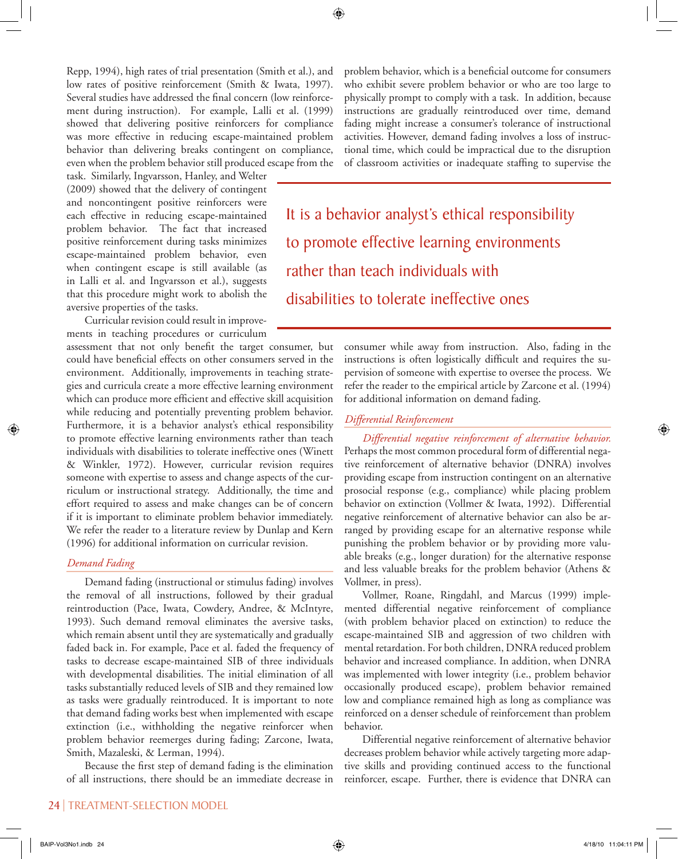Repp, 1994), high rates of trial presentation (Smith et al.), and low rates of positive reinforcement (Smith & Iwata, 1997). Several studies have addressed the final concern (low reinforcement during instruction). For example, Lalli et al. (1999) showed that delivering positive reinforcers for compliance was more effective in reducing escape-maintained problem behavior than delivering breaks contingent on compliance, even when the problem behavior still produced escape from the

task. Similarly, Ingvarsson, Hanley, and Welter (2009) showed that the delivery of contingent and noncontingent positive reinforcers were each effective in reducing escape-maintained problem behavior. The fact that increased positive reinforcement during tasks minimizes escape-maintained problem behavior, even when contingent escape is still available (as in Lalli et al. and Ingvarsson et al.), suggests that this procedure might work to abolish the aversive properties of the tasks.

Curricular revision could result in improvements in teaching procedures or curriculum

assessment that not only benefit the target consumer, but could have beneficial effects on other consumers served in the environment. Additionally, improvements in teaching strategies and curricula create a more effective learning environment which can produce more efficient and effective skill acquisition while reducing and potentially preventing problem behavior. Furthermore, it is a behavior analyst's ethical responsibility to promote effective learning environments rather than teach individuals with disabilities to tolerate ineffective ones (Winett & Winkler, 1972). However, curricular revision requires someone with expertise to assess and change aspects of the curriculum or instructional strategy. Additionally, the time and effort required to assess and make changes can be of concern if it is important to eliminate problem behavior immediately. We refer the reader to a literature review by Dunlap and Kern (1996) for additional information on curricular revision.

### *Demand Fading*

Demand fading (instructional or stimulus fading) involves the removal of all instructions, followed by their gradual reintroduction (Pace, Iwata, Cowdery, Andree, & McIntyre, 1993). Such demand removal eliminates the aversive tasks, which remain absent until they are systematically and gradually faded back in. For example, Pace et al. faded the frequency of tasks to decrease escape-maintained SIB of three individuals with developmental disabilities. The initial elimination of all tasks substantially reduced levels of SIB and they remained low as tasks were gradually reintroduced. It is important to note that demand fading works best when implemented with escape extinction (i.e., withholding the negative reinforcer when problem behavior reemerges during fading; Zarcone, Iwata, Smith, Mazaleski, & Lerman, 1994).

Because the first step of demand fading is the elimination of all instructions, there should be an immediate decrease in

problem behavior, which is a beneficial outcome for consumers who exhibit severe problem behavior or who are too large to physically prompt to comply with a task. In addition, because instructions are gradually reintroduced over time, demand fading might increase a consumer's tolerance of instructional activities. However, demand fading involves a loss of instructional time, which could be impractical due to the disruption of classroom activities or inadequate staffing to supervise the

It is a behavior analyst's ethical responsibility to promote effective learning environments rather than teach individuals with disabilities to tolerate ineffective ones

> consumer while away from instruction. Also, fading in the instructions is often logistically difficult and requires the supervision of someone with expertise to oversee the process. We refer the reader to the empirical article by Zarcone et al. (1994) for additional information on demand fading.

# *Differential Reinforcement*

*Differential negative reinforcement of alternative behavior.*  Perhaps the most common procedural form of differential negative reinforcement of alternative behavior (DNRA) involves providing escape from instruction contingent on an alternative prosocial response (e.g., compliance) while placing problem behavior on extinction (Vollmer & Iwata, 1992). Differential negative reinforcement of alternative behavior can also be arranged by providing escape for an alternative response while punishing the problem behavior or by providing more valuable breaks (e.g., longer duration) for the alternative response and less valuable breaks for the problem behavior (Athens & Vollmer, in press).

Vollmer, Roane, Ringdahl, and Marcus (1999) implemented differential negative reinforcement of compliance (with problem behavior placed on extinction) to reduce the escape-maintained SIB and aggression of two children with mental retardation. For both children, DNRA reduced problem behavior and increased compliance. In addition, when DNRA was implemented with lower integrity (i.e., problem behavior occasionally produced escape), problem behavior remained low and compliance remained high as long as compliance was reinforced on a denser schedule of reinforcement than problem behavior.

Differential negative reinforcement of alternative behavior decreases problem behavior while actively targeting more adaptive skills and providing continued access to the functional reinforcer, escape. Further, there is evidence that DNRA can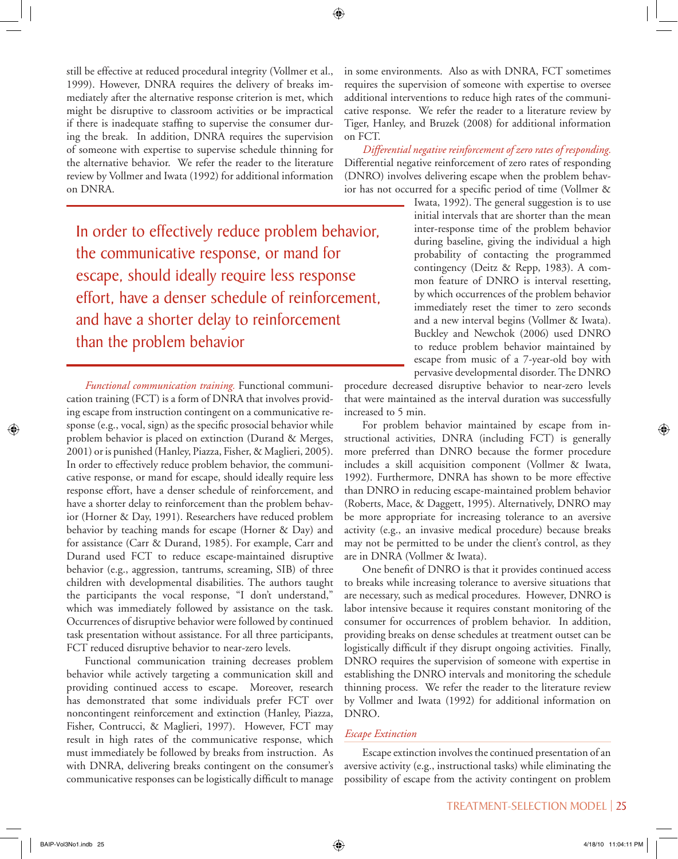still be effective at reduced procedural integrity (Vollmer et al., 1999). However, DNRA requires the delivery of breaks immediately after the alternative response criterion is met, which might be disruptive to classroom activities or be impractical if there is inadequate staffing to supervise the consumer during the break. In addition, DNRA requires the supervision of someone with expertise to supervise schedule thinning for the alternative behavior. We refer the reader to the literature review by Vollmer and Iwata (1992) for additional information on DNRA.

In order to effectively reduce problem behavior, the communicative response, or mand for escape, should ideally require less response effort, have a denser schedule of reinforcement, and have a shorter delay to reinforcement than the problem behavior

*Functional communication training.* Functional communication training (FCT) is a form of DNRA that involves providing escape from instruction contingent on a communicative response (e.g., vocal, sign) as the specific prosocial behavior while problem behavior is placed on extinction (Durand & Merges, 2001) or is punished (Hanley, Piazza, Fisher, & Maglieri, 2005). In order to effectively reduce problem behavior, the communicative response, or mand for escape, should ideally require less response effort, have a denser schedule of reinforcement, and have a shorter delay to reinforcement than the problem behavior (Horner & Day, 1991). Researchers have reduced problem behavior by teaching mands for escape (Horner & Day) and for assistance (Carr & Durand, 1985). For example, Carr and Durand used FCT to reduce escape-maintained disruptive behavior (e.g., aggression, tantrums, screaming, SIB) of three children with developmental disabilities. The authors taught the participants the vocal response, "I don't understand," which was immediately followed by assistance on the task. Occurrences of disruptive behavior were followed by continued task presentation without assistance. For all three participants, FCT reduced disruptive behavior to near-zero levels.

Functional communication training decreases problem behavior while actively targeting a communication skill and providing continued access to escape. Moreover, research has demonstrated that some individuals prefer FCT over noncontingent reinforcement and extinction (Hanley, Piazza, Fisher, Contrucci, & Maglieri, 1997). However, FCT may result in high rates of the communicative response, which must immediately be followed by breaks from instruction. As with DNRA, delivering breaks contingent on the consumer's communicative responses can be logistically difficult to manage in some environments. Also as with DNRA, FCT sometimes requires the supervision of someone with expertise to oversee additional interventions to reduce high rates of the communicative response. We refer the reader to a literature review by Tiger, Hanley, and Bruzek (2008) for additional information on FCT.

*Differential negative reinforcement of zero rates of responding.* Differential negative reinforcement of zero rates of responding (DNRO) involves delivering escape when the problem behavior has not occurred for a specific period of time (Vollmer &

Iwata, 1992). The general suggestion is to use initial intervals that are shorter than the mean inter-response time of the problem behavior during baseline, giving the individual a high probability of contacting the programmed contingency (Deitz & Repp, 1983). A common feature of DNRO is interval resetting, by which occurrences of the problem behavior immediately reset the timer to zero seconds and a new interval begins (Vollmer & Iwata). Buckley and Newchok (2006) used DNRO to reduce problem behavior maintained by escape from music of a 7-year-old boy with pervasive developmental disorder. The DNRO

procedure decreased disruptive behavior to near-zero levels that were maintained as the interval duration was successfully increased to 5 min.

For problem behavior maintained by escape from instructional activities, DNRA (including FCT) is generally more preferred than DNRO because the former procedure includes a skill acquisition component (Vollmer & Iwata, 1992). Furthermore, DNRA has shown to be more effective than DNRO in reducing escape-maintained problem behavior (Roberts, Mace, & Daggett, 1995). Alternatively, DNRO may be more appropriate for increasing tolerance to an aversive activity (e.g., an invasive medical procedure) because breaks may not be permitted to be under the client's control, as they are in DNRA (Vollmer & Iwata).

One benefit of DNRO is that it provides continued access to breaks while increasing tolerance to aversive situations that are necessary, such as medical procedures. However, DNRO is labor intensive because it requires constant monitoring of the consumer for occurrences of problem behavior. In addition, providing breaks on dense schedules at treatment outset can be logistically difficult if they disrupt ongoing activities. Finally, DNRO requires the supervision of someone with expertise in establishing the DNRO intervals and monitoring the schedule thinning process. We refer the reader to the literature review by Vollmer and Iwata (1992) for additional information on DNRO.

# *Escape Extinction*

Escape extinction involves the continued presentation of an aversive activity (e.g., instructional tasks) while eliminating the possibility of escape from the activity contingent on problem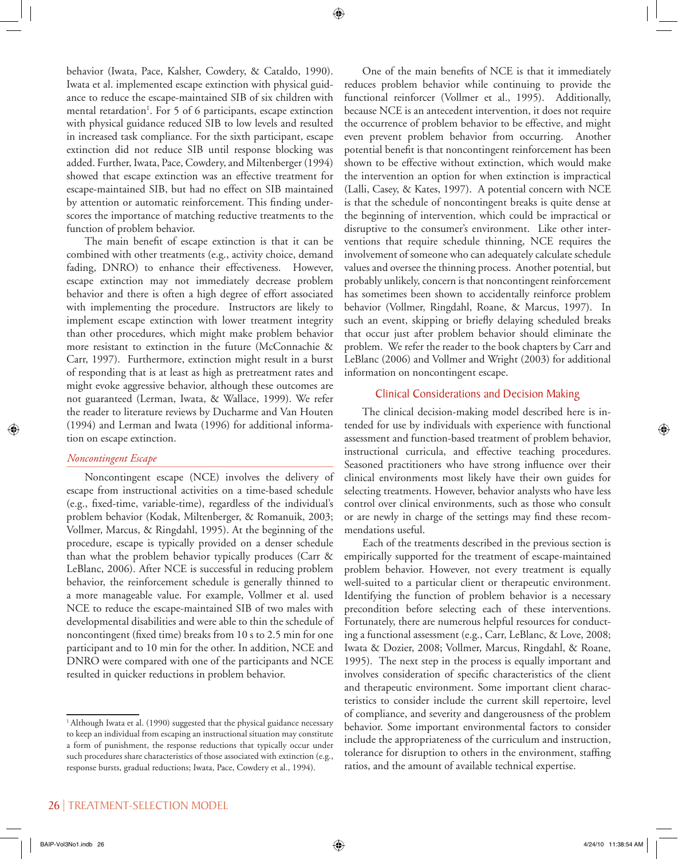behavior (Iwata, Pace, Kalsher, Cowdery, & Cataldo, 1990). Iwata et al. implemented escape extinction with physical guidance to reduce the escape-maintained SIB of six children with mental retardation<sup>1</sup>. For 5 of 6 participants, escape extinction with physical guidance reduced SIB to low levels and resulted in increased task compliance. For the sixth participant, escape extinction did not reduce SIB until response blocking was added. Further, Iwata, Pace, Cowdery, and Miltenberger (1994) showed that escape extinction was an effective treatment for escape-maintained SIB, but had no effect on SIB maintained by attention or automatic reinforcement. This finding underscores the importance of matching reductive treatments to the function of problem behavior.

The main benefit of escape extinction is that it can be combined with other treatments (e.g., activity choice, demand fading, DNRO) to enhance their effectiveness. However, escape extinction may not immediately decrease problem behavior and there is often a high degree of effort associated with implementing the procedure. Instructors are likely to implement escape extinction with lower treatment integrity than other procedures, which might make problem behavior more resistant to extinction in the future (McConnachie & Carr, 1997). Furthermore, extinction might result in a burst of responding that is at least as high as pretreatment rates and might evoke aggressive behavior, although these outcomes are not guaranteed (Lerman, Iwata, & Wallace, 1999). We refer the reader to literature reviews by Ducharme and Van Houten (1994) and Lerman and Iwata (1996) for additional information on escape extinction.

# *Noncontingent Escape*

Noncontingent escape (NCE) involves the delivery of escape from instructional activities on a time-based schedule (e.g., fixed-time, variable-time), regardless of the individual's problem behavior (Kodak, Miltenberger, & Romanuik, 2003; Vollmer, Marcus, & Ringdahl, 1995). At the beginning of the procedure, escape is typically provided on a denser schedule than what the problem behavior typically produces (Carr & LeBlanc, 2006). After NCE is successful in reducing problem behavior, the reinforcement schedule is generally thinned to a more manageable value. For example, Vollmer et al. used NCE to reduce the escape-maintained SIB of two males with developmental disabilities and were able to thin the schedule of noncontingent (fixed time) breaks from 10 s to 2.5 min for one participant and to 10 min for the other. In addition, NCE and DNRO were compared with one of the participants and NCE resulted in quicker reductions in problem behavior.

One of the main benefits of NCE is that it immediately reduces problem behavior while continuing to provide the functional reinforcer (Vollmer et al., 1995). Additionally, because NCE is an antecedent intervention, it does not require the occurrence of problem behavior to be effective, and might even prevent problem behavior from occurring. Another potential benefit is that noncontingent reinforcement has been shown to be effective without extinction, which would make the intervention an option for when extinction is impractical (Lalli, Casey, & Kates, 1997). A potential concern with NCE is that the schedule of noncontingent breaks is quite dense at the beginning of intervention, which could be impractical or disruptive to the consumer's environment. Like other interventions that require schedule thinning, NCE requires the involvement of someone who can adequately calculate schedule values and oversee the thinning process. Another potential, but probably unlikely, concern is that noncontingent reinforcement has sometimes been shown to accidentally reinforce problem behavior (Vollmer, Ringdahl, Roane, & Marcus, 1997). In such an event, skipping or briefly delaying scheduled breaks that occur just after problem behavior should eliminate the problem. We refer the reader to the book chapters by Carr and LeBlanc (2006) and Vollmer and Wright (2003) for additional information on noncontingent escape.

### Clinical Considerations and Decision Making

The clinical decision-making model described here is intended for use by individuals with experience with functional assessment and function-based treatment of problem behavior, instructional curricula, and effective teaching procedures. Seasoned practitioners who have strong influence over their clinical environments most likely have their own guides for selecting treatments. However, behavior analysts who have less control over clinical environments, such as those who consult or are newly in charge of the settings may find these recommendations useful.

Each of the treatments described in the previous section is empirically supported for the treatment of escape-maintained problem behavior. However, not every treatment is equally well-suited to a particular client or therapeutic environment. Identifying the function of problem behavior is a necessary precondition before selecting each of these interventions. Fortunately, there are numerous helpful resources for conducting a functional assessment (e.g., Carr, LeBlanc, & Love, 2008; Iwata & Dozier, 2008; Vollmer, Marcus, Ringdahl, & Roane, 1995). The next step in the process is equally important and involves consideration of specific characteristics of the client and therapeutic environment. Some important client characteristics to consider include the current skill repertoire, level of compliance, and severity and dangerousness of the problem behavior. Some important environmental factors to consider include the appropriateness of the curriculum and instruction, tolerance for disruption to others in the environment, staffing ratios, and the amount of available technical expertise.

<sup>&</sup>lt;sup>1</sup> Although Iwata et al. (1990) suggested that the physical guidance necessary to keep an individual from escaping an instructional situation may constitute a form of punishment, the response reductions that typically occur under such procedures share characteristics of those associated with extinction (e.g., response bursts, gradual reductions; Iwata, Pace, Cowdery et al., 1994).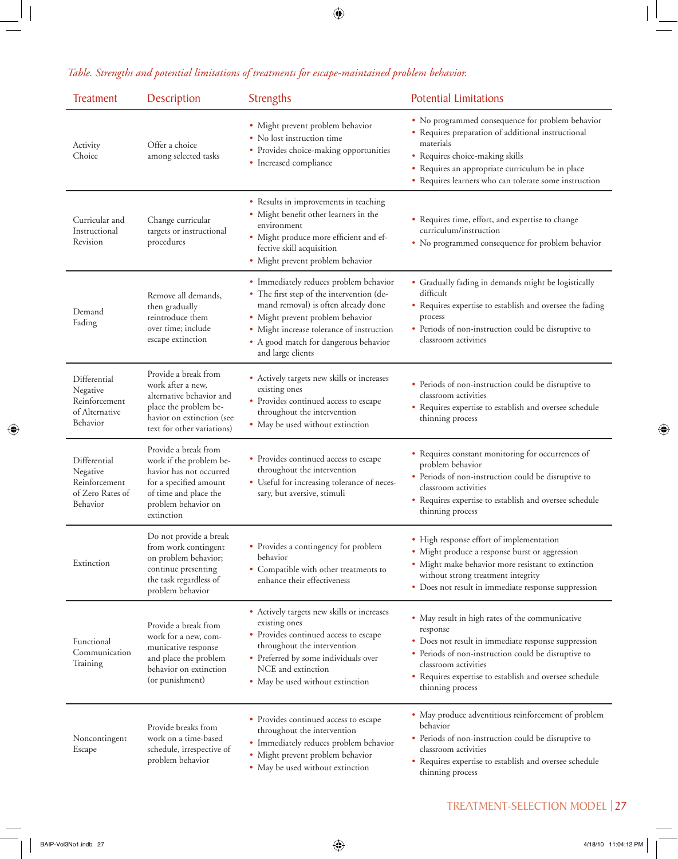# *Table. Strengths and potential limitations of treatments for escape-maintained problem behavior.*

| <b>Treatment</b>                                                          | Description                                                                                                                                                        | Strengths                                                                                                                                                                                                                                                                 | <b>Potential Limitations</b>                                                                                                                                                                                                                                                    |
|---------------------------------------------------------------------------|--------------------------------------------------------------------------------------------------------------------------------------------------------------------|---------------------------------------------------------------------------------------------------------------------------------------------------------------------------------------------------------------------------------------------------------------------------|---------------------------------------------------------------------------------------------------------------------------------------------------------------------------------------------------------------------------------------------------------------------------------|
| Activity<br>Choice                                                        | Offer a choice<br>among selected tasks                                                                                                                             | · Might prevent problem behavior<br>• No lost instruction time<br>• Provides choice-making opportunities<br>• Increased compliance                                                                                                                                        | • No programmed consequence for problem behavior<br>• Requires preparation of additional instructional<br>materials<br>· Requires choice-making skills<br>· Requires an appropriate curriculum be in place<br>· Requires learners who can tolerate some instruction             |
| Curricular and<br>Instructional<br>Revision                               | Change curricular<br>targets or instructional<br>procedures                                                                                                        | • Results in improvements in teaching<br>• Might benefit other learners in the<br>environment<br>· Might produce more efficient and ef-<br>fective skill acquisition<br>· Might prevent problem behavior                                                                  | · Requires time, effort, and expertise to change<br>curriculum/instruction<br>· No programmed consequence for problem behavior                                                                                                                                                  |
| Demand<br>Fading                                                          | Remove all demands,<br>then gradually<br>reintroduce them<br>over time; include<br>escape extinction                                                               | · Immediately reduces problem behavior<br>• The first step of the intervention (de-<br>mand removal) is often already done<br>· Might prevent problem behavior<br>• Might increase tolerance of instruction<br>• A good match for dangerous behavior<br>and large clients | • Gradually fading in demands might be logistically<br>difficult<br>· Requires expertise to establish and oversee the fading<br>process<br>• Periods of non-instruction could be disruptive to<br>classroom activities                                                          |
| Differential<br>Negative<br>Reinforcement<br>of Alternative<br>Behavior   | Provide a break from<br>work after a new,<br>alternative behavior and<br>place the problem be-<br>havior on extinction (see<br>text for other variations)          | • Actively targets new skills or increases<br>existing ones<br>• Provides continued access to escape<br>throughout the intervention<br>• May be used without extinction                                                                                                   | • Periods of non-instruction could be disruptive to<br>classroom activities<br>· Requires expertise to establish and oversee schedule<br>thinning process                                                                                                                       |
| Differential<br>Negative<br>Reinforcement<br>of Zero Rates of<br>Behavior | Provide a break from<br>work if the problem be-<br>havior has not occurred<br>for a specified amount<br>of time and place the<br>problem behavior on<br>extinction | • Provides continued access to escape<br>throughout the intervention<br>• Useful for increasing tolerance of neces-<br>sary, but aversive, stimuli                                                                                                                        | • Requires constant monitoring for occurrences of<br>problem behavior<br>• Periods of non-instruction could be disruptive to<br>classroom activities<br>· Requires expertise to establish and oversee schedule<br>thinning process                                              |
| Extinction                                                                | Do not provide a break<br>from work contingent<br>on problem behavior;<br>continue presenting<br>the task regardless of<br>problem behavior                        | • Provides a contingency for problem<br>behavior<br>• Compatible with other treatments to<br>enhance their effectiveness                                                                                                                                                  | • High response effort of implementation<br>• Might produce a response burst or aggression<br>· Might make behavior more resistant to extinction<br>without strong treatment integrity<br>• Does not result in immediate response suppression                                   |
| Functional<br>Communication<br>Training                                   | Provide a break from<br>work for a new, com-<br>municative response<br>and place the problem<br>behavior on extinction<br>(or punishment)                          | • Actively targets new skills or increases<br>existing ones<br>• Provides continued access to escape<br>throughout the intervention<br>• Preferred by some individuals over<br>NCE and extinction<br>• May be used without extinction                                     | • May result in high rates of the communicative<br>response<br>• Does not result in immediate response suppression<br>• Periods of non-instruction could be disruptive to<br>classroom activities<br>· Requires expertise to establish and oversee schedule<br>thinning process |
| Noncontingent<br>Escape                                                   | Provide breaks from<br>work on a time-based<br>schedule, irrespective of<br>problem behavior                                                                       | • Provides continued access to escape<br>throughout the intervention<br>· Immediately reduces problem behavior<br>· Might prevent problem behavior<br>• May be used without extinction                                                                                    | • May produce adventitious reinforcement of problem<br>behavior<br>• Periods of non-instruction could be disruptive to<br>classroom activities<br>· Requires expertise to establish and oversee schedule<br>thinning process                                                    |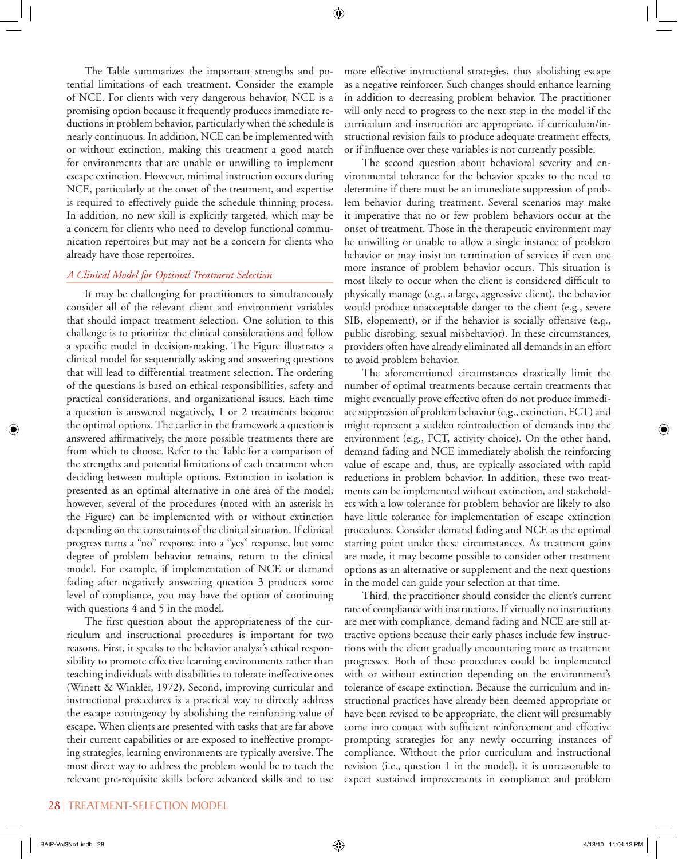The Table summarizes the important strengths and potential limitations of each treatment. Consider the example of NCE. For clients with very dangerous behavior, NCE is a promising option because it frequently produces immediate reductions in problem behavior, particularly when the schedule is nearly continuous. In addition, NCE can be implemented with or without extinction, making this treatment a good match for environments that are unable or unwilling to implement escape extinction. However, minimal instruction occurs during NCE, particularly at the onset of the treatment, and expertise is required to effectively guide the schedule thinning process. In addition, no new skill is explicitly targeted, which may be a concern for clients who need to develop functional communication repertoires but may not be a concern for clients who already have those repertoires.

## *A Clinical Model for Optimal Treatment Selection*

It may be challenging for practitioners to simultaneously consider all of the relevant client and environment variables that should impact treatment selection. One solution to this challenge is to prioritize the clinical considerations and follow a specific model in decision-making. The Figure illustrates a clinical model for sequentially asking and answering questions that will lead to differential treatment selection. The ordering of the questions is based on ethical responsibilities, safety and practical considerations, and organizational issues. Each time a question is answered negatively, 1 or 2 treatments become the optimal options. The earlier in the framework a question is answered affirmatively, the more possible treatments there are from which to choose. Refer to the Table for a comparison of the strengths and potential limitations of each treatment when deciding between multiple options. Extinction in isolation is presented as an optimal alternative in one area of the model; however, several of the procedures (noted with an asterisk in the Figure) can be implemented with or without extinction depending on the constraints of the clinical situation. If clinical progress turns a "no" response into a "yes" response, but some degree of problem behavior remains, return to the clinical model. For example, if implementation of NCE or demand fading after negatively answering question 3 produces some level of compliance, you may have the option of continuing with questions 4 and 5 in the model.

The first question about the appropriateness of the curriculum and instructional procedures is important for two reasons. First, it speaks to the behavior analyst's ethical responsibility to promote effective learning environments rather than teaching individuals with disabilities to tolerate ineffective ones (Winett & Winkler, 1972). Second, improving curricular and instructional procedures is a practical way to directly address the escape contingency by abolishing the reinforcing value of escape. When clients are presented with tasks that are far above their current capabilities or are exposed to ineffective prompting strategies, learning environments are typically aversive. The most direct way to address the problem would be to teach the relevant pre-requisite skills before advanced skills and to use more effective instructional strategies, thus abolishing escape as a negative reinforcer. Such changes should enhance learning in addition to decreasing problem behavior. The practitioner will only need to progress to the next step in the model if the curriculum and instruction are appropriate, if curriculum/instructional revision fails to produce adequate treatment effects, or if influence over these variables is not currently possible.

The second question about behavioral severity and environmental tolerance for the behavior speaks to the need to determine if there must be an immediate suppression of problem behavior during treatment. Several scenarios may make it imperative that no or few problem behaviors occur at the onset of treatment. Those in the therapeutic environment may be unwilling or unable to allow a single instance of problem behavior or may insist on termination of services if even one more instance of problem behavior occurs. This situation is most likely to occur when the client is considered difficult to physically manage (e.g., a large, aggressive client), the behavior would produce unacceptable danger to the client (e.g., severe SIB, elopement), or if the behavior is socially offensive (e.g., public disrobing, sexual misbehavior). In these circumstances, providers often have already eliminated all demands in an effort to avoid problem behavior.

The aforementioned circumstances drastically limit the number of optimal treatments because certain treatments that might eventually prove effective often do not produce immediate suppression of problem behavior (e.g., extinction, FCT) and might represent a sudden reintroduction of demands into the environment (e.g., FCT, activity choice). On the other hand, demand fading and NCE immediately abolish the reinforcing value of escape and, thus, are typically associated with rapid reductions in problem behavior. In addition, these two treatments can be implemented without extinction, and stakeholders with a low tolerance for problem behavior are likely to also have little tolerance for implementation of escape extinction procedures. Consider demand fading and NCE as the optimal starting point under these circumstances. As treatment gains are made, it may become possible to consider other treatment options as an alternative or supplement and the next questions in the model can guide your selection at that time.

Third, the practitioner should consider the client's current rate of compliance with instructions. If virtually no instructions are met with compliance, demand fading and NCE are still attractive options because their early phases include few instructions with the client gradually encountering more as treatment progresses. Both of these procedures could be implemented with or without extinction depending on the environment's tolerance of escape extinction. Because the curriculum and instructional practices have already been deemed appropriate or have been revised to be appropriate, the client will presumably come into contact with sufficient reinforcement and effective prompting strategies for any newly occurring instances of compliance. Without the prior curriculum and instructional revision (i.e., question 1 in the model), it is unreasonable to expect sustained improvements in compliance and problem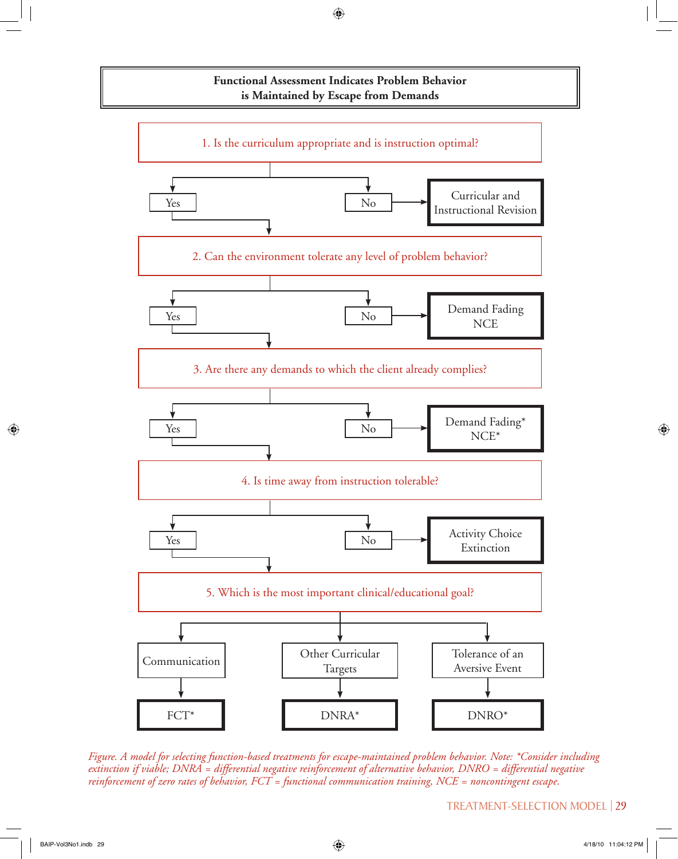# **Functional Assessment Indicates Problem Behavior is Maintained by Escape from Demands**



*Figure. A model for selecting function-based treatments for escape-maintained problem behavior. Note: \*Consider including extinction if viable; DNRA = differential negative reinforcement of alternative behavior, DNRO = differential negative reinforcement of zero rates of behavior, FCT = functional communication training, NCE = noncontingent escape.*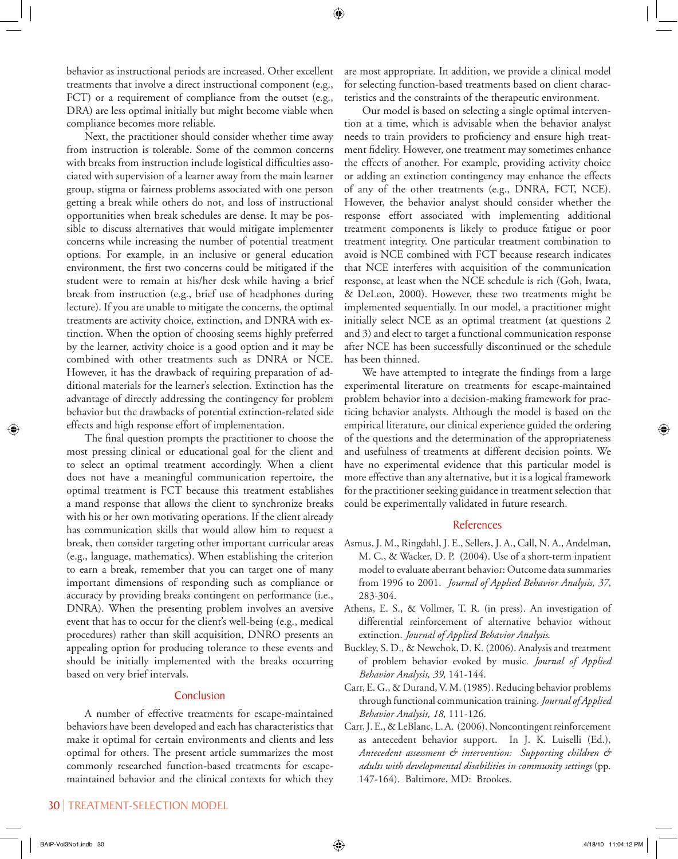behavior as instructional periods are increased. Other excellent treatments that involve a direct instructional component (e.g., FCT) or a requirement of compliance from the outset (e.g., DRA) are less optimal initially but might become viable when compliance becomes more reliable.

Next, the practitioner should consider whether time away from instruction is tolerable. Some of the common concerns with breaks from instruction include logistical difficulties associated with supervision of a learner away from the main learner group, stigma or fairness problems associated with one person getting a break while others do not, and loss of instructional opportunities when break schedules are dense. It may be possible to discuss alternatives that would mitigate implementer concerns while increasing the number of potential treatment options. For example, in an inclusive or general education environment, the first two concerns could be mitigated if the student were to remain at his/her desk while having a brief break from instruction (e.g., brief use of headphones during lecture). If you are unable to mitigate the concerns, the optimal treatments are activity choice, extinction, and DNRA with extinction. When the option of choosing seems highly preferred by the learner, activity choice is a good option and it may be combined with other treatments such as DNRA or NCE. However, it has the drawback of requiring preparation of additional materials for the learner's selection. Extinction has the advantage of directly addressing the contingency for problem behavior but the drawbacks of potential extinction-related side effects and high response effort of implementation.

The final question prompts the practitioner to choose the most pressing clinical or educational goal for the client and to select an optimal treatment accordingly. When a client does not have a meaningful communication repertoire, the optimal treatment is FCT because this treatment establishes a mand response that allows the client to synchronize breaks with his or her own motivating operations. If the client already has communication skills that would allow him to request a break, then consider targeting other important curricular areas (e.g., language, mathematics). When establishing the criterion to earn a break, remember that you can target one of many important dimensions of responding such as compliance or accuracy by providing breaks contingent on performance (i.e., DNRA). When the presenting problem involves an aversive event that has to occur for the client's well-being (e.g., medical procedures) rather than skill acquisition, DNRO presents an appealing option for producing tolerance to these events and should be initially implemented with the breaks occurring based on very brief intervals.

# **Conclusion**

A number of effective treatments for escape-maintained behaviors have been developed and each has characteristics that make it optimal for certain environments and clients and less optimal for others. The present article summarizes the most commonly researched function-based treatments for escapemaintained behavior and the clinical contexts for which they are most appropriate. In addition, we provide a clinical model for selecting function-based treatments based on client characteristics and the constraints of the therapeutic environment.

Our model is based on selecting a single optimal intervention at a time, which is advisable when the behavior analyst needs to train providers to proficiency and ensure high treatment fidelity. However, one treatment may sometimes enhance the effects of another. For example, providing activity choice or adding an extinction contingency may enhance the effects of any of the other treatments (e.g., DNRA, FCT, NCE). However, the behavior analyst should consider whether the response effort associated with implementing additional treatment components is likely to produce fatigue or poor treatment integrity. One particular treatment combination to avoid is NCE combined with FCT because research indicates that NCE interferes with acquisition of the communication response, at least when the NCE schedule is rich (Goh, Iwata, & DeLeon, 2000). However, these two treatments might be implemented sequentially. In our model, a practitioner might initially select NCE as an optimal treatment (at questions 2 and 3) and elect to target a functional communication response after NCE has been successfully discontinued or the schedule has been thinned.

We have attempted to integrate the findings from a large experimental literature on treatments for escape-maintained problem behavior into a decision-making framework for practicing behavior analysts. Although the model is based on the empirical literature, our clinical experience guided the ordering of the questions and the determination of the appropriateness and usefulness of treatments at different decision points. We have no experimental evidence that this particular model is more effective than any alternative, but it is a logical framework for the practitioner seeking guidance in treatment selection that could be experimentally validated in future research.

#### References

- Asmus, J. M., Ringdahl, J. E., Sellers, J. A., Call, N. A., Andelman, M. C., & Wacker, D. P. (2004). Use of a short-term inpatient model to evaluate aberrant behavior: Outcome data summaries from 1996 to 2001. *Journal of Applied Behavior Analysis, 37*, 283-304.
- Athens, E. S., & Vollmer, T. R. (in press). An investigation of differential reinforcement of alternative behavior without extinction. *Journal of Applied Behavior Analysis*.
- Buckley, S. D., & Newchok, D. K. (2006). Analysis and treatment of problem behavior evoked by music. *Journal of Applied Behavior Analysis, 39*, 141-144.
- Carr, E. G., & Durand, V. M. (1985). Reducing behavior problems through functional communication training. *Journal of Applied Behavior Analysis, 18*, 111-126.
- Carr, J. E., & LeBlanc, L. A. (2006). Noncontingent reinforcement as antecedent behavior support. In J. K. Luiselli (Ed.), *Antecedent assessment & intervention: Supporting children & adults with developmental disabilities in community settings* (pp. 147-164). Baltimore, MD: Brookes.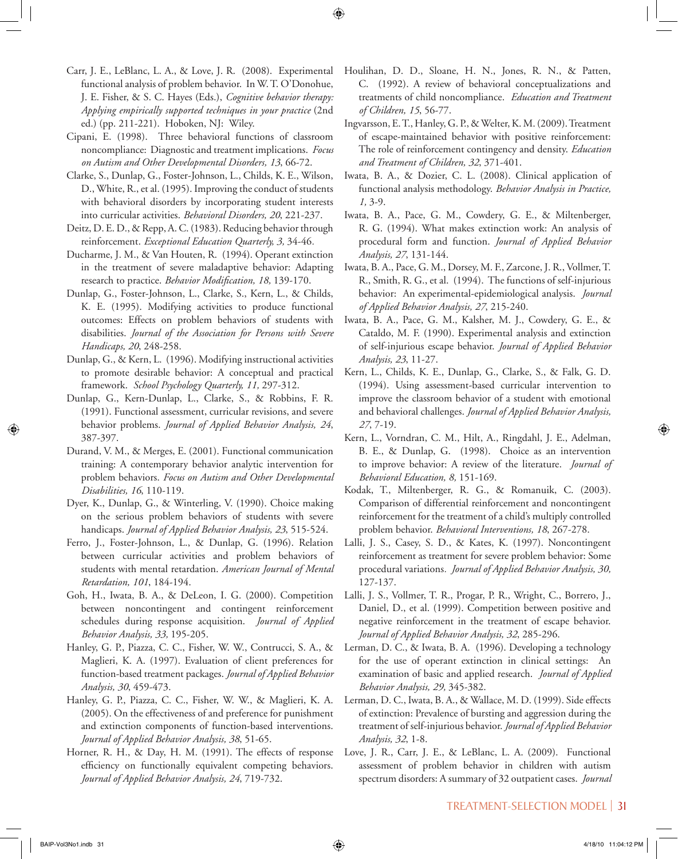- Carr, J. E., LeBlanc, L. A., & Love, J. R. (2008). Experimental functional analysis of problem behavior. In W. T. O'Donohue, J. E. Fisher, & S. C. Hayes (Eds.), *Cognitive behavior therapy: Applying empirically supported techniques in your practice* (2nd ed.) (pp. 211-221). Hoboken, NJ: Wiley.
- Cipani, E. (1998). Three behavioral functions of classroom noncompliance: Diagnostic and treatment implications. *Focus on Autism and Other Developmental Disorders, 13*, 66-72.
- Clarke, S., Dunlap, G., Foster-Johnson, L., Childs, K. E., Wilson, D., White, R., et al. (1995). Improving the conduct of students with behavioral disorders by incorporating student interests into curricular activities. *Behavioral Disorders, 20*, 221-237.
- Deitz, D. E. D., & Repp, A. C. (1983). Reducing behavior through reinforcement. *Exceptional Education Quarterly, 3,* 34-46*.*
- Ducharme, J. M., & Van Houten, R. (1994). Operant extinction in the treatment of severe maladaptive behavior: Adapting research to practice. *Behavior Modification, 18,* 139-170.
- Dunlap, G., Foster-Johnson, L., Clarke, S., Kern, L., & Childs, K. E. (1995). Modifying activities to produce functional outcomes: Effects on problem behaviors of students with disabilities. *Journal of the Association for Persons with Severe Handicaps, 20*, 248-258.
- Dunlap, G., & Kern, L. (1996). Modifying instructional activities to promote desirable behavior: A conceptual and practical framework. *School Psychology Quarterly, 11,* 297-312.
- Dunlap, G., Kern-Dunlap, L., Clarke, S., & Robbins, F. R. (1991). Functional assessment, curricular revisions, and severe behavior problems. *Journal of Applied Behavior Analysis, 24*, 387-397.
- Durand, V. M., & Merges, E. (2001). Functional communication training: A contemporary behavior analytic intervention for problem behaviors. *Focus on Autism and Other Developmental Disabilities, 16*, 110-119.
- Dyer, K., Dunlap, G., & Winterling, V. (1990). Choice making on the serious problem behaviors of students with severe handicaps. *Journal of Applied Behavior Analysis, 23*, 515-524.
- Ferro, J., Foster-Johnson, L., & Dunlap, G. (1996). Relation between curricular activities and problem behaviors of students with mental retardation. *American Journal of Mental Retardation, 101*, 184-194.
- Goh, H., Iwata, B. A., & DeLeon, I. G. (2000). Competition between noncontingent and contingent reinforcement schedules during response acquisition. *Journal of Applied Behavior Analysis, 33,* 195-205.
- Hanley, G. P., Piazza, C. C., Fisher, W. W., Contrucci, S. A., & Maglieri, K. A. (1997). Evaluation of client preferences for function-based treatment packages. *Journal of Applied Behavior Analysis, 30*, 459-473.
- Hanley, G. P., Piazza, C. C., Fisher, W. W., & Maglieri, K. A. (2005). On the effectiveness of and preference for punishment and extinction components of function-based interventions. *Journal of Applied Behavior Analysis, 38*, 51-65.
- Horner, R. H., & Day, H. M. (1991). The effects of response efficiency on functionally equivalent competing behaviors. *Journal of Applied Behavior Analysis, 24*, 719-732.
- Houlihan, D. D., Sloane, H. N., Jones, R. N., & Patten, C. (1992). A review of behavioral conceptualizations and treatments of child noncompliance. *Education and Treatment of Children, 15*, 56-77.
- Ingvarsson, E. T., Hanley, G. P., & Welter, K. M. (2009). Treatment of escape-maintained behavior with positive reinforcement: The role of reinforcement contingency and density. *Education and Treatment of Children, 32*, 371-401.
- Iwata, B. A., & Dozier, C. L. (2008). Clinical application of functional analysis methodology. *Behavior Analysis in Practice, 1,* 3-9.
- Iwata, B. A., Pace, G. M., Cowdery, G. E., & Miltenberger, R. G. (1994). What makes extinction work: An analysis of procedural form and function. *Journal of Applied Behavior Analysis, 27*, 131-144.
- Iwata, B. A., Pace, G. M., Dorsey, M. F., Zarcone, J. R., Vollmer, T. R., Smith, R. G., et al. (1994). The functions of self-injurious behavior: An experimental-epidemiological analysis. *Journal of Applied Behavior Analysis, 27*, 215-240.
- Iwata, B. A., Pace, G. M., Kalsher, M. J., Cowdery, G. E., & Cataldo, M. F. (1990). Experimental analysis and extinction of self-injurious escape behavior. *Journal of Applied Behavior Analysis, 23*, 11-27.
- Kern, L., Childs, K. E., Dunlap, G., Clarke, S., & Falk, G. D. (1994). Using assessment-based curricular intervention to improve the classroom behavior of a student with emotional and behavioral challenges. *Journal of Applied Behavior Analysis, 27*, 7-19.
- Kern, L., Vorndran, C. M., Hilt, A., Ringdahl, J. E., Adelman, B. E., & Dunlap, G. (1998). Choice as an intervention to improve behavior: A review of the literature. *Journal of Behavioral Education, 8,* 151-169.
- Kodak, T., Miltenberger, R. G., & Romanuik, C. (2003). Comparison of differential reinforcement and noncontingent reinforcement for the treatment of a child's multiply controlled problem behavior. *Behavioral Interventions, 18*, 267-278.
- Lalli, J. S., Casey, S. D., & Kates, K. (1997). Noncontingent reinforcement as treatment for severe problem behavior: Some procedural variations*. Journal of Applied Behavior Analysis, 30,* 127-137.
- Lalli, J. S., Vollmer, T. R., Progar, P. R., Wright, C., Borrero, J., Daniel, D., et al. (1999). Competition between positive and negative reinforcement in the treatment of escape behavior. *Journal of Applied Behavior Analysis, 32*, 285-296.
- Lerman, D. C., & Iwata, B. A. (1996). Developing a technology for the use of operant extinction in clinical settings: An examination of basic and applied research. *Journal of Applied Behavior Analysis, 29,* 345-382.
- Lerman, D. C., Iwata, B. A., & Wallace, M. D. (1999). Side effects of extinction: Prevalence of bursting and aggression during the treatment of self-injurious behavior. *Journal of Applied Behavior Analysis, 32*, 1-8.
- Love, J. R., Carr, J. E., & LeBlanc, L. A. (2009). Functional assessment of problem behavior in children with autism spectrum disorders: A summary of 32 outpatient cases. *Journal*